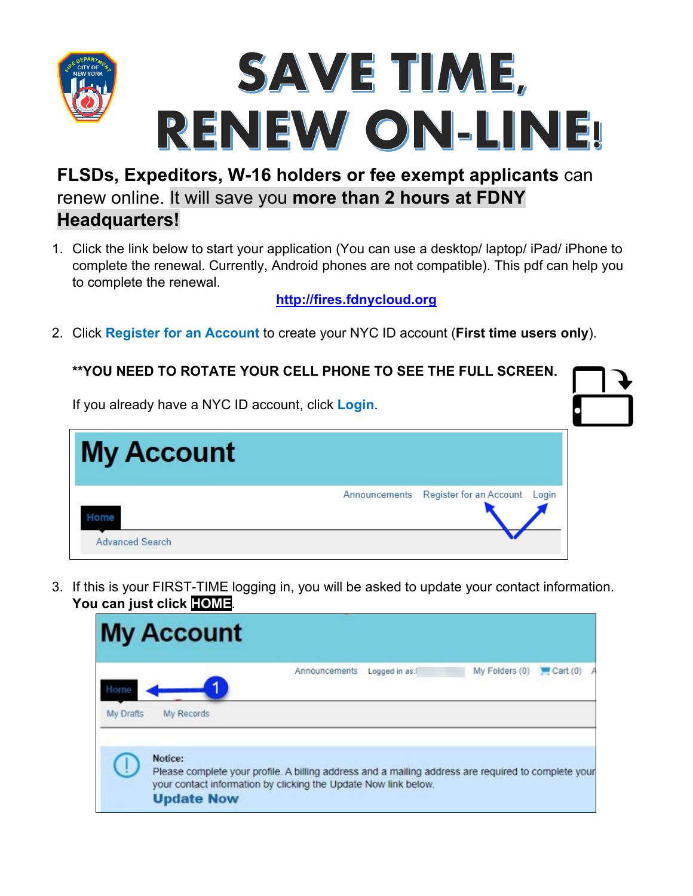

## **FLSDs, Expeditors, W-16 holders or fee exempt applicants** can renew online. It will save you **more than 2 hours at FDNY**

## **Headquarters!**

1. Click the link below to start your application (You can use a desktop/ laptop/ iPad/ iPhone to complete the renewal. Currently, Android phones are not compatible). This pdf can help you to complete the renewal.

**[http://fires.fdnycloud.org](http://fires.fdnycloud.org/)**

2. Click **Register for an Account** to create your NYC ID account (**First time users only**).

| <b>**YOU NEED TO ROTATE YOUR CELL PHONE TO SEE THE FULL SCREEN.</b> |  |  |  |  |  |  |
|---------------------------------------------------------------------|--|--|--|--|--|--|
| If you already have a NYC ID account, click Login.                  |  |  |  |  |  |  |
| <b>My Account</b>                                                   |  |  |  |  |  |  |
| Register for an Account<br>Announcements<br>Login<br>Home           |  |  |  |  |  |  |
| <b>Advanced Search</b>                                              |  |  |  |  |  |  |

3. If this is your FIRST-TIME logging in, you will be asked to update your contact information. **You can just click HOME**.

|                    | <b>My Account</b>                                                                                                                                                                                      |               |               |                |         |
|--------------------|--------------------------------------------------------------------------------------------------------------------------------------------------------------------------------------------------------|---------------|---------------|----------------|---------|
| Horne<br>My Drafts | My Records                                                                                                                                                                                             | Announcements | Logged in as: | My Folders (0) | Cart(0) |
|                    | Notice:<br>Please complete your profile. A billing address and a mailing address are required to complete your<br>your contact information by clicking the Update Now link below.<br><b>Update Now</b> |               |               |                |         |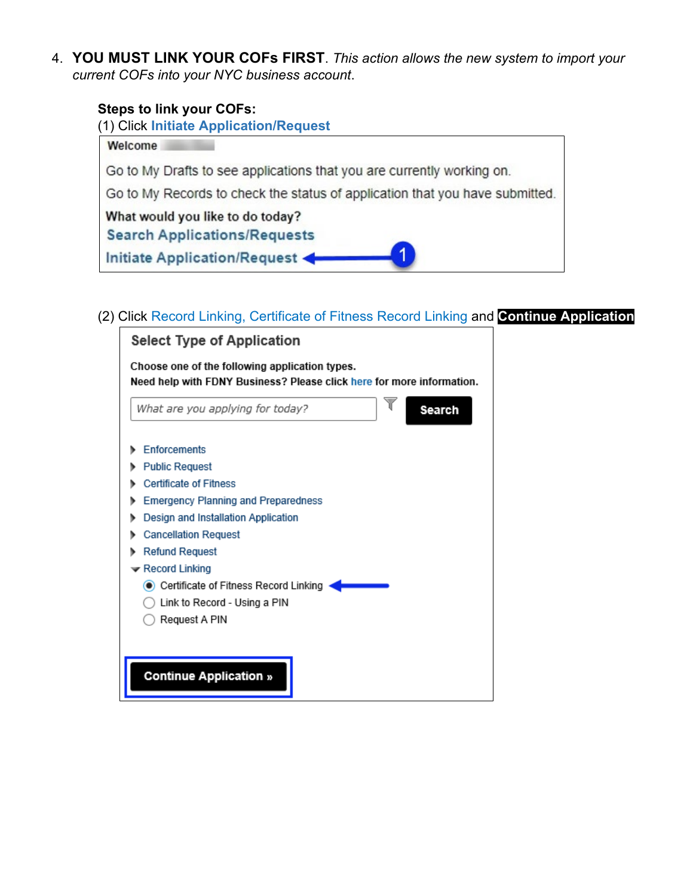4. **YOU MUST LINK YOUR COFs FIRST**. *This action allows the new system to import your current COFs into your NYC business account*.

## **Steps to link your COFs:**



(2) Click Record Linking, Certificate of Fitness Record Linking and **Continue Application**

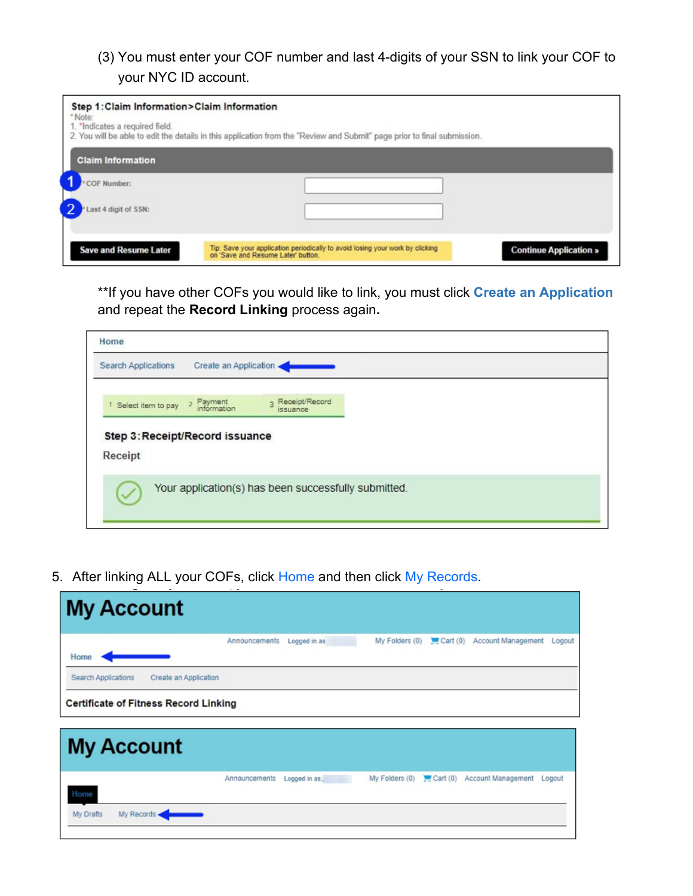## (3) You must enter your COF number and last 4-digits of your SSN to link your COF to your NYC ID account.

| Step 1: Claim Information>Claim Information<br>*Note:<br>1. "Indicates a required field. | 2. You will be able to edit the details in this application from the "Review and Submit" page prior to final submission. |                               |
|------------------------------------------------------------------------------------------|--------------------------------------------------------------------------------------------------------------------------|-------------------------------|
| <b>Claim Information</b>                                                                 |                                                                                                                          |                               |
| COF Number:                                                                              |                                                                                                                          |                               |
| Last 4 digit of SSN:                                                                     |                                                                                                                          |                               |
| <b>Save and Resume Later</b>                                                             | Tip: Save your application periodically to avoid losing your work by clicking<br>on 'Save and Resume Later' button.      | <b>Continue Application »</b> |

\*\*If you have other COFs you would like to link, you must click **Create an Application**  and repeat the **Record Linking** process again**.**

| Search Applications                                  | Create an Application |                  |  |  |
|------------------------------------------------------|-----------------------|------------------|--|--|
| <sup>1</sup> Select item to pay <sup>2</sup> Payment |                       | 3 Receipt/Record |  |  |
|                                                      |                       |                  |  |  |
| Step 3: Receipt/Record issuance                      |                       |                  |  |  |
| Receipt                                              |                       |                  |  |  |

5. After linking ALL your COFs, click Home and then click My Records.

| Home                |                                              | Announcements | Logged in as  | My Folders (0) | Cart(0) | Account Management                         | Logout |
|---------------------|----------------------------------------------|---------------|---------------|----------------|---------|--------------------------------------------|--------|
| Search Applications | Create an Application                        |               |               |                |         |                                            |        |
|                     |                                              |               |               |                |         |                                            |        |
|                     | <b>Certificate of Fitness Record Linking</b> |               |               |                |         |                                            |        |
|                     |                                              |               |               |                |         |                                            |        |
|                     |                                              |               |               |                |         |                                            |        |
|                     |                                              |               |               |                |         |                                            |        |
| <b>My Account</b>   |                                              | Announcements | Logged in as: |                |         | My Folders (0) Cart (0) Account Management | Logout |